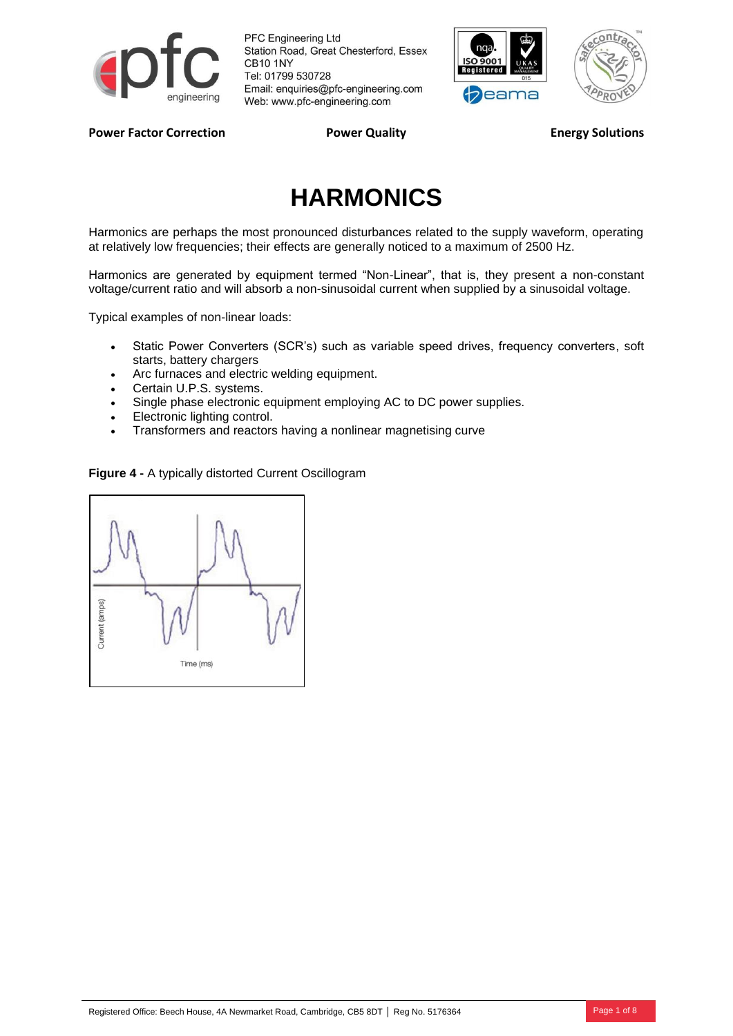

**PFC Engineering Ltd** Station Road, Great Chesterford, Essex CB10 1NY Tel: 01799 530728 Email: enquiries@pfc-engineering.com Web: www.pfc-engineering.com





Power Factor Correction **Power Quality Power Cuality Energy Solutions** 

# **HARMONICS**

Harmonics are perhaps the most pronounced disturbances related to the supply waveform, operating at relatively low frequencies; their effects are generally noticed to a maximum of 2500 Hz.

Harmonics are generated by equipment termed "Non-Linear", that is, they present a non-constant voltage/current ratio and will absorb a non-sinusoidal current when supplied by a sinusoidal voltage.

Typical examples of non-linear loads:

- Static Power Converters (SCR's) such as variable speed drives, frequency converters, soft starts, battery chargers
- Arc furnaces and electric welding equipment.
- Certain U.P.S. systems.
- Single phase electronic equipment employing AC to DC power supplies.
- Electronic lighting control.
- Transformers and reactors having a nonlinear magnetising curve

**Figure 4 -** A typically distorted Current Oscillogram

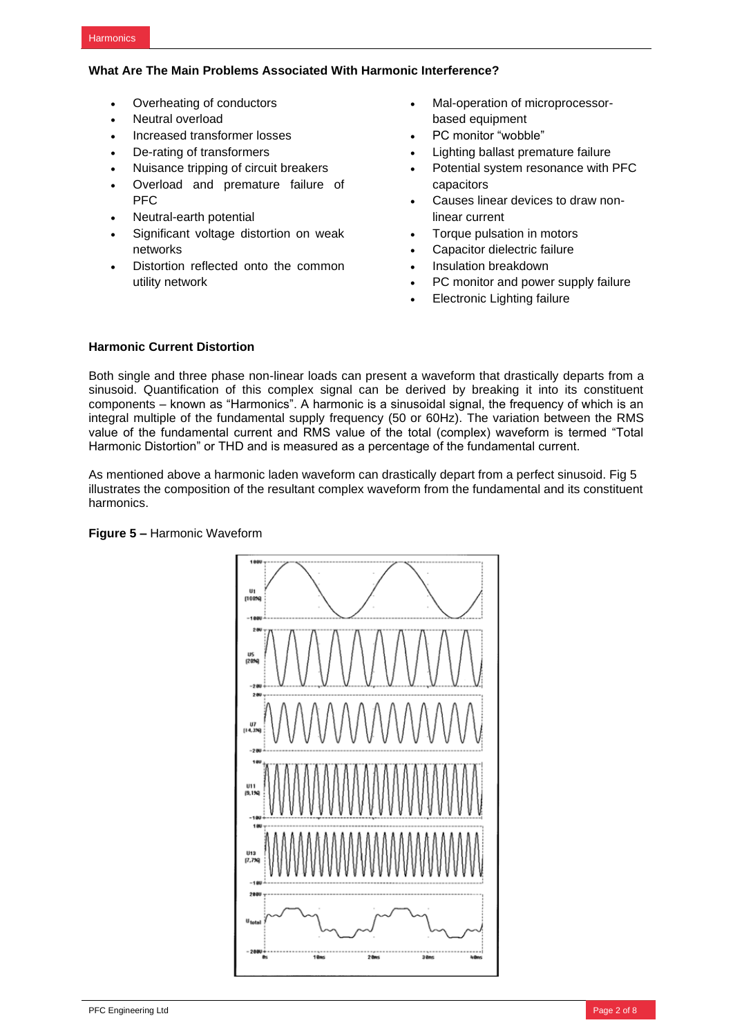## **What Are The Main Problems Associated With Harmonic Interference?**

- Overheating of conductors
- Neutral overload
- Increased transformer losses
- De-rating of transformers
- Nuisance tripping of circuit breakers
- Overload and premature failure of PFC
- Neutral-earth potential
- Significant voltage distortion on weak networks
- Distortion reflected onto the common utility network
- Mal-operation of microprocessorbased equipment
- PC monitor "wobble"
- Lighting ballast premature failure
- Potential system resonance with PFC capacitors
- Causes linear devices to draw nonlinear current
- Torque pulsation in motors
- Capacitor dielectric failure
- Insulation breakdown
- PC monitor and power supply failure
- Electronic Lighting failure

# **Harmonic Current Distortion**

Both single and three phase non-linear loads can present a waveform that drastically departs from a sinusoid. Quantification of this complex signal can be derived by breaking it into its constituent components – known as "Harmonics". A harmonic is a sinusoidal signal, the frequency of which is an integral multiple of the fundamental supply frequency (50 or 60Hz). The variation between the RMS value of the fundamental current and RMS value of the total (complex) waveform is termed "Total Harmonic Distortion" or THD and is measured as a percentage of the fundamental current.

As mentioned above a harmonic laden waveform can drastically depart from a perfect sinusoid. Fig 5 illustrates the composition of the resultant complex waveform from the fundamental and its constituent harmonics.



**Figure 5 –** Harmonic Waveform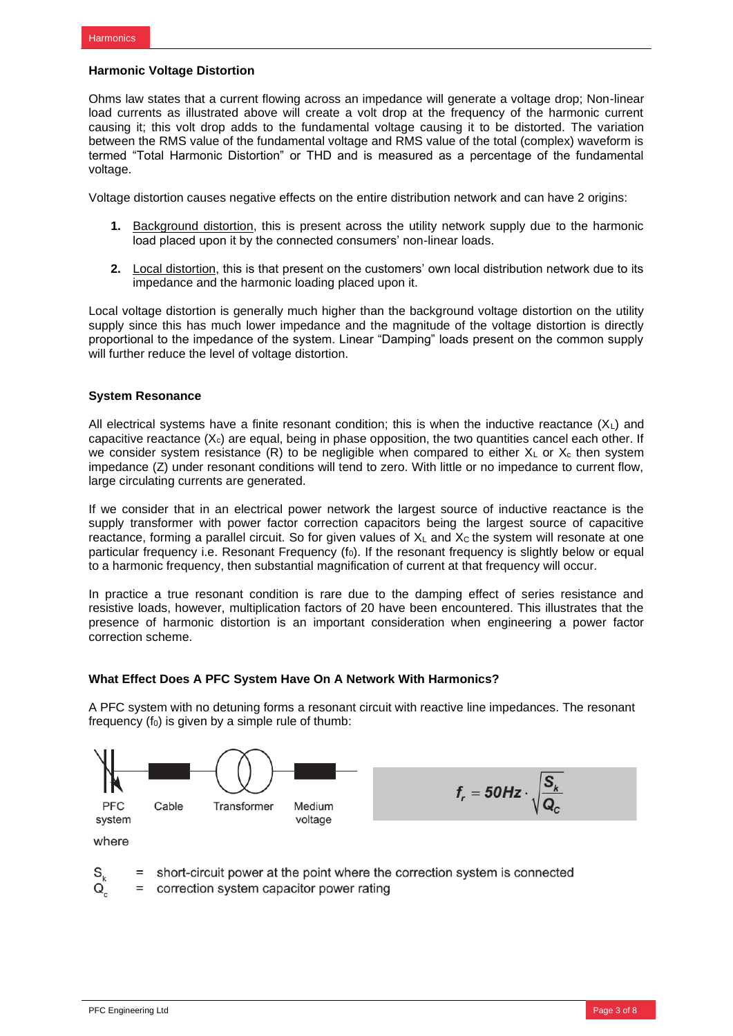## **Harmonic Voltage Distortion**

Ohms law states that a current flowing across an impedance will generate a voltage drop; Non-linear load currents as illustrated above will create a volt drop at the frequency of the harmonic current causing it; this volt drop adds to the fundamental voltage causing it to be distorted. The variation between the RMS value of the fundamental voltage and RMS value of the total (complex) waveform is termed "Total Harmonic Distortion" or THD and is measured as a percentage of the fundamental voltage.

Voltage distortion causes negative effects on the entire distribution network and can have 2 origins:

- **1.** Background distortion, this is present across the utility network supply due to the harmonic load placed upon it by the connected consumers' non-linear loads.
- **2.** Local distortion, this is that present on the customers' own local distribution network due to its impedance and the harmonic loading placed upon it.

Local voltage distortion is generally much higher than the background voltage distortion on the utility supply since this has much lower impedance and the magnitude of the voltage distortion is directly proportional to the impedance of the system. Linear "Damping" loads present on the common supply will further reduce the level of voltage distortion.

## **System Resonance**

All electrical systems have a finite resonant condition; this is when the inductive reactance  $(X<sub>L</sub>)$  and capacitive reactance  $(X_c)$  are equal, being in phase opposition, the two quantities cancel each other. If we consider system resistance (R) to be negligible when compared to either  $X_L$  or  $X_c$  then system impedance (Z) under resonant conditions will tend to zero. With little or no impedance to current flow, large circulating currents are generated.

If we consider that in an electrical power network the largest source of inductive reactance is the supply transformer with power factor correction capacitors being the largest source of capacitive reactance, forming a parallel circuit. So for given values of  $X_L$  and  $X_C$  the system will resonate at one particular frequency i.e. Resonant Frequency  $(f_0)$ . If the resonant frequency is slightly below or equal to a harmonic frequency, then substantial magnification of current at that frequency will occur.

In practice a true resonant condition is rare due to the damping effect of series resistance and resistive loads, however, multiplication factors of 20 have been encountered. This illustrates that the presence of harmonic distortion is an important consideration when engineering a power factor correction scheme.

## **What Effect Does A PFC System Have On A Network With Harmonics?**

A PFC system with no detuning forms a resonant circuit with reactive line impedances. The resonant frequency  $(f_0)$  is given by a simple rule of thumb:



- = short-circuit power at the point where the correction system is connected  $S_{\iota}$ Q
	- = correction system capacitor power rating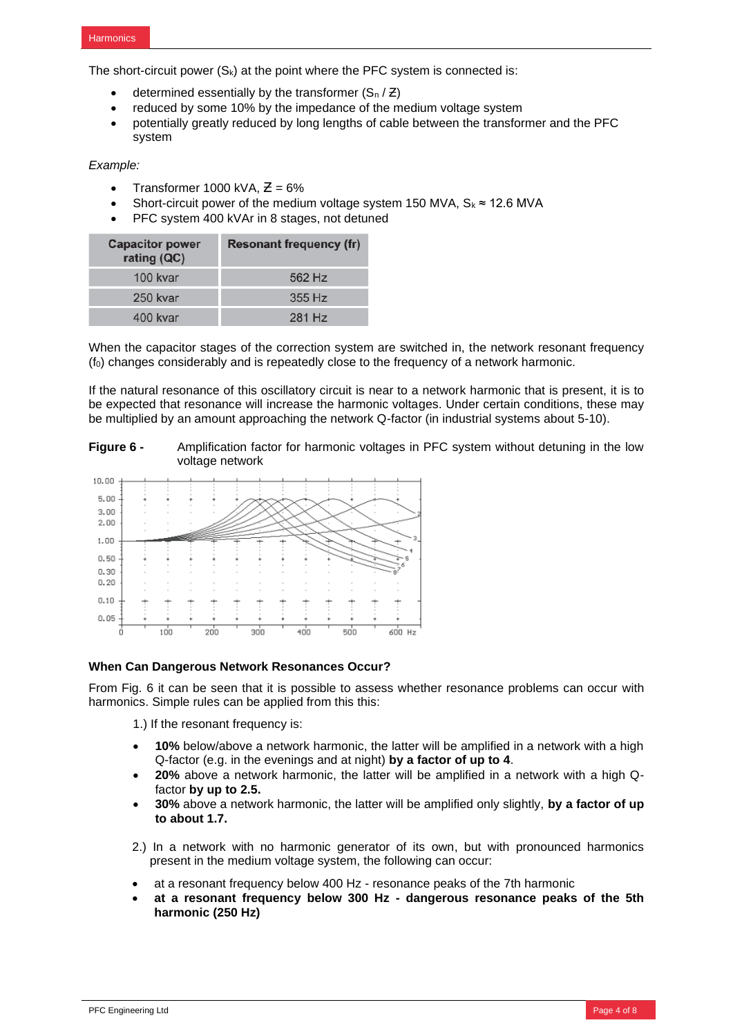The short-circuit power  $(S_k)$  at the point where the PFC system is connected is:

- determined essentially by the transformer  $(S_n / Z)$
- reduced by some 10% by the impedance of the medium voltage system
- potentially greatly reduced by long lengths of cable between the transformer and the PFC system

*Example:*

- Transformer 1000 kVA,  $\overline{Z} = 6\%$
- Short-circuit power of the medium voltage system 150 MVA,  $S_k \approx 12.6$  MVA
- PFC system 400 kVAr in 8 stages, not detuned

| <b>Capacitor power</b><br>rating (QC) | <b>Resonant frequency (fr)</b> |  |
|---------------------------------------|--------------------------------|--|
| 100 kvar                              | 562 Hz                         |  |
| 250 kvar                              | 355 Hz                         |  |
| 400 kvar                              | 281 Hz                         |  |

When the capacitor stages of the correction system are switched in, the network resonant frequency  $(f<sub>0</sub>)$  changes considerably and is repeatedly close to the frequency of a network harmonic.

If the natural resonance of this oscillatory circuit is near to a network harmonic that is present, it is to be expected that resonance will increase the harmonic voltages. Under certain conditions, these may be multiplied by an amount approaching the network Q-factor (in industrial systems about 5-10).

**Figure 6 -** Amplification factor for harmonic voltages in PFC system without detuning in the low voltage network



#### **When Can Dangerous Network Resonances Occur?**

From Fig. 6 it can be seen that it is possible to assess whether resonance problems can occur with harmonics. Simple rules can be applied from this this:

1.) If the resonant frequency is:

- **10%** below/above a network harmonic, the latter will be amplified in a network with a high Q-factor (e.g. in the evenings and at night) **by a factor of up to 4**.
- **20%** above a network harmonic, the latter will be amplified in a network with a high Qfactor **by up to 2.5.**
- **30%** above a network harmonic, the latter will be amplified only slightly, **by a factor of up to about 1.7.**
- 2.) In a network with no harmonic generator of its own, but with pronounced harmonics present in the medium voltage system, the following can occur:
- at a resonant frequency below 400 Hz resonance peaks of the 7th harmonic
- **at a resonant frequency below 300 Hz - dangerous resonance peaks of the 5th harmonic (250 Hz)**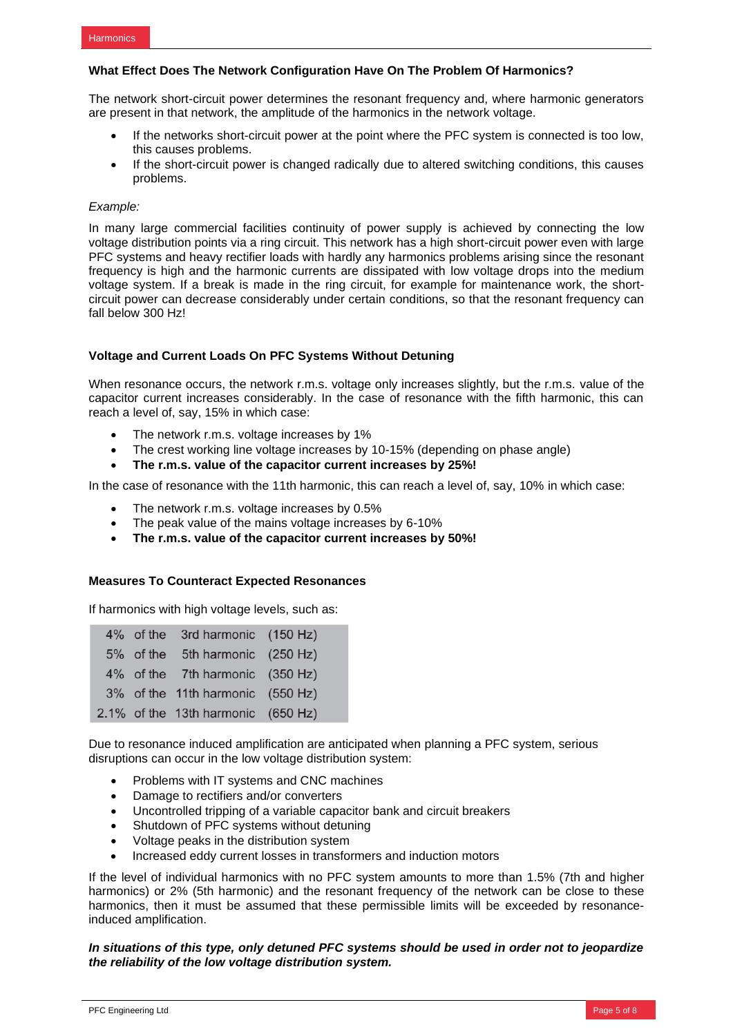## **What Effect Does The Network Configuration Have On The Problem Of Harmonics?**

The network short-circuit power determines the resonant frequency and, where harmonic generators are present in that network, the amplitude of the harmonics in the network voltage.

- If the networks short-circuit power at the point where the PFC system is connected is too low. this causes problems.
- If the short-circuit power is changed radically due to altered switching conditions, this causes problems.

#### *Example:*

In many large commercial facilities continuity of power supply is achieved by connecting the low voltage distribution points via a ring circuit. This network has a high short-circuit power even with large PFC systems and heavy rectifier loads with hardly any harmonics problems arising since the resonant frequency is high and the harmonic currents are dissipated with low voltage drops into the medium voltage system. If a break is made in the ring circuit, for example for maintenance work, the shortcircuit power can decrease considerably under certain conditions, so that the resonant frequency can fall below 300 Hz!

## **Voltage and Current Loads On PFC Systems Without Detuning**

When resonance occurs, the network r.m.s. voltage only increases slightly, but the r.m.s. value of the capacitor current increases considerably. In the case of resonance with the fifth harmonic, this can reach a level of, say, 15% in which case:

- The network r.m.s. voltage increases by 1%
- The crest working line voltage increases by 10-15% (depending on phase angle)
- **The r.m.s. value of the capacitor current increases by 25%!**

In the case of resonance with the 11th harmonic, this can reach a level of, say, 10% in which case:

- The network r.m.s. voltage increases by 0.5%
- The peak value of the mains voltage increases by 6-10%
- **The r.m.s. value of the capacitor current increases by 50%!**

#### **Measures To Counteract Expected Resonances**

If harmonics with high voltage levels, such as:

|  | 4% of the 3rd harmonic (150 Hz)    |  |
|--|------------------------------------|--|
|  | 5% of the 5th harmonic (250 Hz)    |  |
|  | 4% of the 7th harmonic (350 Hz)    |  |
|  | 3% of the 11th harmonic (550 Hz)   |  |
|  | 2.1% of the 13th harmonic (650 Hz) |  |

Due to resonance induced amplification are anticipated when planning a PFC system, serious disruptions can occur in the low voltage distribution system:

- Problems with IT systems and CNC machines
- Damage to rectifiers and/or converters
- Uncontrolled tripping of a variable capacitor bank and circuit breakers
- Shutdown of PFC systems without detuning
- Voltage peaks in the distribution system
- Increased eddy current losses in transformers and induction motors

If the level of individual harmonics with no PFC system amounts to more than 1.5% (7th and higher harmonics) or 2% (5th harmonic) and the resonant frequency of the network can be close to these harmonics, then it must be assumed that these permissible limits will be exceeded by resonanceinduced amplification.

*In situations of this type, only detuned PFC systems should be used in order not to jeopardize the reliability of the low voltage distribution system.*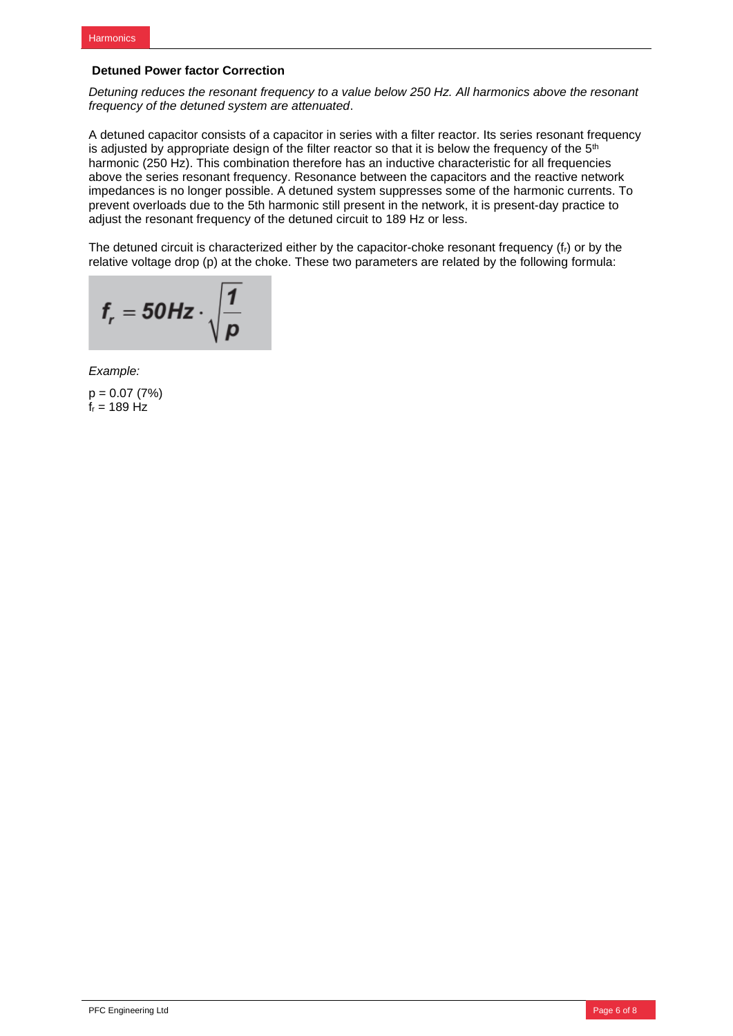# **Detuned Power factor Correction**

*Detuning reduces the resonant frequency to a value below 250 Hz. All harmonics above the resonant frequency of the detuned system are attenuated*.

A detuned capacitor consists of a capacitor in series with a filter reactor. Its series resonant frequency is adjusted by appropriate design of the filter reactor so that it is below the frequency of the  $5<sup>th</sup>$ harmonic (250 Hz). This combination therefore has an inductive characteristic for all frequencies above the series resonant frequency. Resonance between the capacitors and the reactive network impedances is no longer possible. A detuned system suppresses some of the harmonic currents. To prevent overloads due to the 5th harmonic still present in the network, it is present-day practice to adjust the resonant frequency of the detuned circuit to 189 Hz or less.

The detuned circuit is characterized either by the capacitor-choke resonant frequency (fr) or by the relative voltage drop (p) at the choke. These two parameters are related by the following formula:

$$
f_r = 50 Hz \cdot \sqrt{\frac{1}{p}}
$$

*Example:*

 $p = 0.07 (7%)$  $f_r = 189$  Hz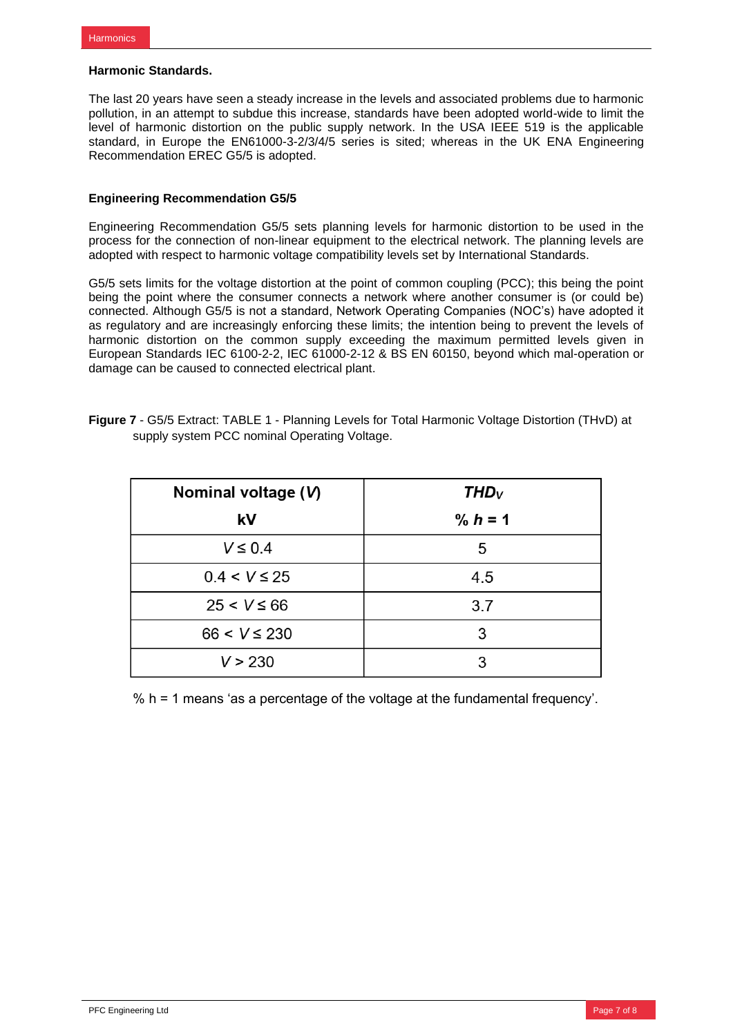#### **Harmonic Standards.**

The last 20 years have seen a steady increase in the levels and associated problems due to harmonic pollution, in an attempt to subdue this increase, standards have been adopted world-wide to limit the level of harmonic distortion on the public supply network. In the USA IEEE 519 is the applicable standard, in Europe the EN61000-3-2/3/4/5 series is sited; whereas in the UK ENA Engineering Recommendation EREC G5/5 is adopted.

# **Engineering Recommendation G5/5**

Engineering Recommendation G5/5 sets planning levels for harmonic distortion to be used in the process for the connection of non-linear equipment to the electrical network. The planning levels are adopted with respect to harmonic voltage compatibility levels set by International Standards.

G5/5 sets limits for the voltage distortion at the point of common coupling (PCC); this being the point being the point where the consumer connects a network where another consumer is (or could be) connected. Although G5/5 is not a standard, Network Operating Companies (NOC's) have adopted it as regulatory and are increasingly enforcing these limits; the intention being to prevent the levels of harmonic distortion on the common supply exceeding the maximum permitted levels given in European Standards IEC 6100-2-2, IEC 61000-2-12 & BS EN 60150, beyond which mal-operation or damage can be caused to connected electrical plant.

| <b>Figure 7</b> - G5/5 Extract: TABLE 1 - Planning Levels for Total Harmonic Voltage Distortion (THvD) at |  |
|-----------------------------------------------------------------------------------------------------------|--|
| supply system PCC nominal Operating Voltage.                                                              |  |
|                                                                                                           |  |

| Nominal voltage (V) | $THD_V$   |  |  |
|---------------------|-----------|--|--|
| kV                  | % $h = 1$ |  |  |
| $V \leq 0.4$        | 5         |  |  |
| $0.4 < V \leq 25$   | 4.5       |  |  |
| $25 < V \le 66$     | 3.7       |  |  |
| $66 < V \le 230$    | 3         |  |  |
| V > 230             | 3         |  |  |

% h = 1 means 'as a percentage of the voltage at the fundamental frequency'.